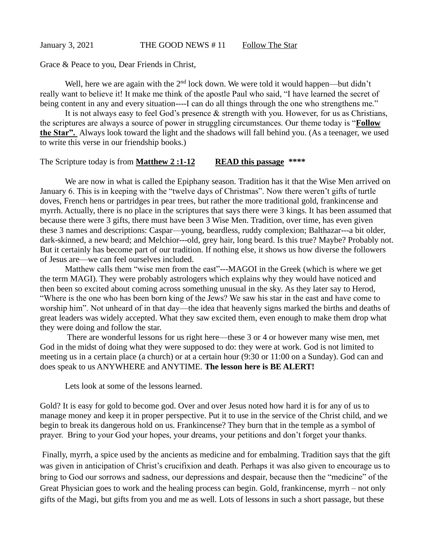January 3, 2021 THE GOOD NEWS #11 Follow The Star

Grace & Peace to you, Dear Friends in Christ,

Well, here we are again with the  $2<sup>nd</sup>$  lock down. We were told it would happen—but didn't really want to believe it! It make me think of the apostle Paul who said, "I have learned the secret of being content in any and every situation----I can do all things through the one who strengthens me."

It is not always easy to feel God's presence & strength with you. However, for us as Christians, the scriptures are always a source of power in struggling circumstances. Our theme today is "**Follow the Star".** Always look toward the light and the shadows will fall behind you. (As a teenager, we used to write this verse in our friendship books.)

## The Scripture today is from **Matthew 2 :1-12 READ this passage \*\*\*\***

We are now in what is called the Epiphany season. Tradition has it that the Wise Men arrived on January 6. This is in keeping with the "twelve days of Christmas". Now there weren't gifts of turtle doves, French hens or partridges in pear trees, but rather the more traditional gold, frankincense and myrrh. Actually, there is no place in the scriptures that says there were 3 kings. It has been assumed that because there were 3 gifts, there must have been 3 Wise Men. Tradition, over time, has even given these 3 names and descriptions: Caspar—young, beardless, ruddy complexion; Balthazar---a bit older, dark-skinned, a new beard; and Melchior---old, grey hair, long beard. Is this true? Maybe? Probably not. But it certainly has become part of our tradition. If nothing else, it shows us how diverse the followers of Jesus are—we can feel ourselves included.

Matthew calls them "wise men from the east"---MAGOI in the Greek (which is where we get the term MAGI). They were probably astrologers which explains why they would have noticed and then been so excited about coming across something unusual in the sky. As they later say to Herod, "Where is the one who has been born king of the Jews? We saw his star in the east and have come to worship him". Not unheard of in that day—the idea that heavenly signs marked the births and deaths of great leaders was widely accepted. What they saw excited them, even enough to make them drop what they were doing and follow the star.

There are wonderful lessons for us right here—these 3 or 4 or however many wise men, met God in the midst of doing what they were supposed to do: they were at work. God is not limited to meeting us in a certain place (a church) or at a certain hour (9:30 or 11:00 on a Sunday). God can and does speak to us ANYWHERE and ANYTIME. **The lesson here is BE ALERT!** 

Lets look at some of the lessons learned.

Gold? It is easy for gold to become god. Over and over Jesus noted how hard it is for any of us to manage money and keep it in proper perspective. Put it to use in the service of the Christ child, and we begin to break its dangerous hold on us. Frankincense? They burn that in the temple as a symbol of prayer. Bring to your God your hopes, your dreams, your petitions and don't forget your thanks.

Finally, myrrh, a spice used by the ancients as medicine and for embalming. Tradition says that the gift was given in anticipation of Christ's crucifixion and death. Perhaps it was also given to encourage us to bring to God our sorrows and sadness, our depressions and despair, because then the "medicine" of the Great Physician goes to work and the healing process can begin. Gold, frankincense, myrrh – not only gifts of the Magi, but gifts from you and me as well. Lots of lessons in such a short passage, but these